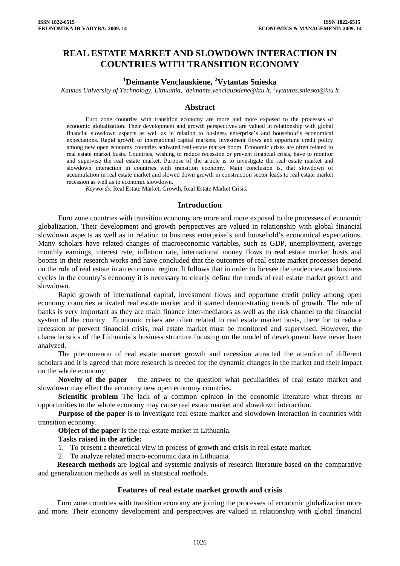# **REAL ESTATE MARKET AND SLOWDOWN INTERACTION IN COUNTRIES WITH TRANSITION ECONOMY**

# **1 Deimante Venclauskiene, <sup>2</sup> Vytautas Snieska**

*Kaunas University of Technology, Lithuania, 1 deimante.venclauskiene@ktu.lt, 2 vytautas.snieska@ktu.lt* 

#### **Abstract**

Euro zone countries with transition economy are more and more exposed to the processes of economic globalization. Their development and growth perspectives are valued in relationship with global financial slowdown aspects as well as in relation to business enterprise's and household's economical expectations. Rapid growth of international capital markets, investment flows and opportune credit policy among new open economy countries activated real estate market boom. Economic crises are often related to real estate market busts. Countries, wishing to reduce recession or prevent financial crisis, have to monitor and supervise the real estate market. Purpose of the article is to investigate the real estate market and slowdown interaction in countries with transition economy. Main conclusion is, that slowdown of accumulation in real estate market and slowed down growth in construction sector leads to real estate market recession as well as to economic slowdown.

*Keywords*: Real Estate Market, Growth, Real Estate Market Crisis.

#### **Introduction**

Euro zone countries with transition economy are more and more exposed to the processes of economic globalization. Their development and growth perspectives are valued in relationship with global financial slowdown aspects as well as in relation to business enterprise's and household's economical expectations. Many scholars have related changes of macroeconomic variables, such as GDP, unemployment, average monthly earnings, interest rate, inflation rate, international money flows to real estate market busts and booms in their research works and have concluded that the outcomes of real estate market processes depend on the role of real estate in an economic region. It follows that in order to foresee the tendencies and business cycles in the country's economy it is necessary to clearly define the trends of real estate market growth and slowdown.

Rapid growth of international capital, investment flows and opportune credit policy among open economy countries activated real estate market and it started demonstrating trends of growth. The role of banks is very important as they are main finance inter-mediators as well as the risk channel to the financial system of the country. Economic crises are often related to real estate market busts, there for to reduce recession or prevent financial crisis, real estate market must be monitored and supervised. However, the characteristics of the Lithuania's business structure focusing on the model of development have never been analyzed.

The phenomenon of real estate market growth and recession attracted the attention of different scholars and it is agreed that more research is needed for the dynamic changes in the market and their impact on the whole economy.

**Novelty of the paper** – the answer to the question what peculiarities of real estate market and slowdown may effect the economy new open economy countries.

**Scientific problem** The lack of a common opinion in the economic literature what threats or opportunities to the whole economy may cause real estate market and slowdown interaction.

**Purpose of the paper** is to investigate real estate market and slowdown interaction in countries with transition economy.

**Object of the paper** is the real estate market in Lithuania.

#### **Tasks raised in the article:**

1. To present a theoretical view in process of growth and crisis in real estate market.

2. To analyze related macro-economic data in Lithuania.

**Research methods** are logical and systemic analysis of research literature based on the comparative and generalization methods as well as statistical methods.

### **Features of real estate market growth and crisis**

Euro zone countries with transition economy are joining the processes of economic globalization more and more. Their economy development and perspectives are valued in relationship with global financial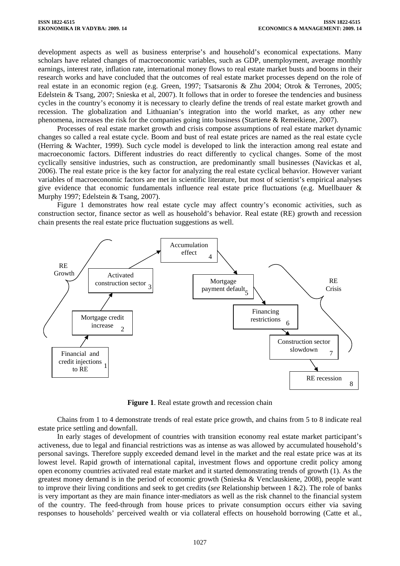development aspects as well as business enterprise's and household's economical expectations. Many scholars have related changes of macroeconomic variables, such as GDP, unemployment, average monthly earnings, interest rate, inflation rate, international money flows to real estate market busts and booms in their research works and have concluded that the outcomes of real estate market processes depend on the role of real estate in an economic region (e.g. Green, 1997; Tsatsaronis & Zhu 2004; Otrok & Terrones, 2005; Edelstein & Tsang, 2007; Snieska et al, 2007). It follows that in order to foresee the tendencies and business cycles in the country's economy it is necessary to clearly define the trends of real estate market growth and recession. The globalization and Lithuanian's integration into the world market, as any other new phenomena, increases the risk for the companies going into business (Startiene & Remeikiene, 2007).

Processes of real estate market growth and crisis compose assumptions of real estate market dynamic changes so called a real estate cycle. Boom and bust of real estate prices are named as the real estate cycle (Herring & Wachter, 1999). Such cycle model is developed to link the interaction among real estate and macroeconomic factors. Different industries do react differently to cyclical changes. Some of the most cyclically sensitive industries, such as construction, are predominantly small businesses (Navickas et al, 2006). The real estate price is the key factor for analyzing the real estate cyclical behavior. However variant variables of macroeconomic factors are met in scientific literature, but most of scientist's empirical analyses give evidence that economic fundamentals influence real estate price fluctuations (e.g. Muellbauer & Murphy 1997; Edelstein & Tsang, 2007).

Figure 1 demonstrates how real estate cycle may affect country's economic activities, such as construction sector, finance sector as well as household's behavior. Real estate (RE) growth and recession chain presents the real estate price fluctuation suggestions as well.



**Figure 1**. Real estate growth and recession chain

Chains from 1 to 4 demonstrate trends of real estate price growth, and chains from 5 to 8 indicate real estate price settling and downfall.

In early stages of development of countries with transition economy real estate market participant's activeness, due to legal and financial restrictions was as intense as was allowed by accumulated household's personal savings. Therefore supply exceeded demand level in the market and the real estate price was at its lowest level. Rapid growth of international capital, investment flows and opportune credit policy among open economy countries activated real estate market and it started demonstrating trends of growth (1). As the greatest money demand is in the period of economic growth (Snieska & Venclauskiene, 2008), people want to improve their living conditions and seek to get credits (*see* Relationship between 1 &2). The role of banks is very important as they are main finance inter-mediators as well as the risk channel to the financial system of the country. The feed-through from house prices to private consumption occurs either via saving responses to households' perceived wealth or via collateral effects on household borrowing (Catte et al.,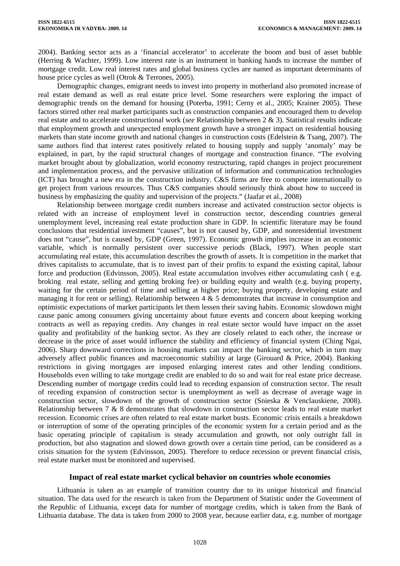2004). Banking sector acts as a 'financial accelerator' to accelerate the boom and bust of asset bubble (Herring & Wachter, 1999). Low interest rate is an instrument in banking hands to increase the number of mortgage credit. Low real interest rates and global business cycles are named as important determinants of house price cycles as well (Otrok & Terrones, 2005).

Demographic changes, emigrant needs to invest into property in motherland also promoted increase of real estate demand as well as real estate price level. Some researchers were exploring the impact of demographic trends on the demand for housing (Poterba, 1991; Cerny et al., 2005; Krainer 2005). These factors stirred other real market participants such as construction companies and encouraged them to develop real estate and to accelerate constructional work (*see* Relationship between 2 & 3). Statistical results indicate that employment growth and unexpected employment growth have a stronger impact on residential housing markets than state income growth and national changes in construction costs (Edelstein & Tsang, 2007). The same authors find that interest rates positively related to housing supply and supply 'anomaly' may be explained, in part, by the rapid structural changes of mortgage and construction finance. "The evolving market brought about by globalization, world economy restructuring, rapid changes in project procurement and implementation process, and the pervasive utilization of information and communication technologies (ICT) has brought a new era in the construction industry. C&S firms are free to compete internationally to get project from various resources. Thus C&S companies should seriously think about how to succeed in business by emphasizing the quality and supervision of the projects." (Jaafar et al., 2008)

Relationship between mortgage credit numbers increase and activated construction sector objects is related with an increase of employment level in construction sector, descending countries general unemployment level, increasing real estate production share in GDP. In scientific literature may be found conclusions that residential investment "causes", but is not caused by, GDP, and nonresidential investment does not "cause", but is caused by, GDP (Green, 1997). Economic growth implies increase in an economic variable, which is normally persistent over successive periods (Black, 1997). When people start accumulating real estate, this accumulation describes the growth of assets. It is competition in the market that drives capitalists to accumulate, that is to invest part of their profits to expand the existing capital, labour force and production (Edvinsson, 2005). Real estate accumulation involves either accumulating cash ( e.g. broking real estate, selling and getting broking fee) or building equity and wealth (e.g. buying property, waiting for the certain period of time and selling at higher price; buying property, developing estate and managing it for rent or selling). Relationship between  $4 \& 5$  demonstrates that increase in consumption and optimistic expectations of market participants let them lessen their saving habits. Economic slowdown might cause panic among consumers giving uncertainty about future events and concern about keeping working contracts as well as repaying credits. Any changes in real estate sector would have impact on the asset quality and profitability of the banking sector. As they are closely related to each other, the increase or decrease in the price of asset would influence the stability and efficiency of financial system (Ching Ngai, 2006). Sharp downward corrections in housing markets can impact the banking sector, which in turn may adversely affect public finances and macroeconomic stability at large (Girouard & Price, 2004). Banking restrictions in giving mortgages are imposed enlarging interest rates and other lending conditions. Households even willing to take mortgage credit are enabled to do so and wait for real estate price decrease. Descending number of mortgage credits could lead to receding expansion of construction sector. The result of receding expansion of construction sector is unemployment as well as decrease of average wage in construction sector, slowdown of the growth of construction sector (Snieska & Venclauskiene, 2008). Relationship between 7 & 8 demonstrates that slowdown in construction sector leads to real estate market recession. Economic crises are often related to real estate market busts. Economic crisis entails a breakdown or interruption of some of the operating principles of the economic system for a certain period and as the basic operating principle of capitalism is steady accumulation and growth, not only outright fall in production, but also stagnation and slowed down growth over a certain time period, can be considered as a crisis situation for the system (Edvinsson, 2005). Therefore to reduce recession or prevent financial crisis, real estate market must be monitored and supervised.

### **Impact of real estate market cyclical behavior on countries whole economies**

Lithuania is taken as an example of transition country due to its unique historical and financial situation. The data used for the research is taken from the Department of Statistic under the Government of the Republic of Lithuania, except data for number of mortgage credits, which is taken from the Bank of Lithuania database. The data is taken from 2000 to 2008 year, because earlier data, e.g. number of mortgage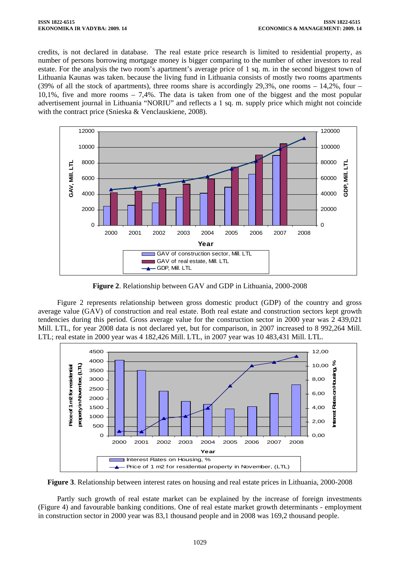credits, is not declared in database. The real estate price research is limited to residential property, as number of persons borrowing mortgage money is bigger comparing to the number of other investors to real estate. For the analysis the two room's apartment's average price of 1 sq. m. in the second biggest town of Lithuania Kaunas was taken. because the living fund in Lithuania consists of mostly two rooms apartments (39% of all the stock of apartments), three rooms share is accordingly 29,3%, one rooms – 14,2%, four – 10,1%, five and more rooms – 7,4%. The data is taken from one of the biggest and the most popular advertisement journal in Lithuania "NORIU" and reflects a 1 sq. m. supply price which might not coincide with the contract price (Snieska & Venclauskiene, 2008).



**Figure 2**. Relationship between GAV and GDP in Lithuania, 2000-2008

Figure 2 represents relationship between gross domestic product (GDP) of the country and gross average value (GAV) of construction and real estate. Both real estate and construction sectors kept growth tendencies during this period. Gross average value for the construction sector in 2000 year was 2 439,021 Mill. LTL, for year 2008 data is not declared yet, but for comparison, in 2007 increased to 8 992,264 Mill. LTL; real estate in 2000 year was 4 182,426 Mill. LTL, in 2007 year was 10 483,431 Mill. LTL.



**Figure 3**. Relationship between interest rates on housing and real estate prices in Lithuania, 2000-2008

Partly such growth of real estate market can be explained by the increase of foreign investments (Figure 4) and favourable banking conditions. One of real estate market growth determinants - employment in construction sector in 2000 year was 83,1 thousand people and in 2008 was 169,2 thousand people.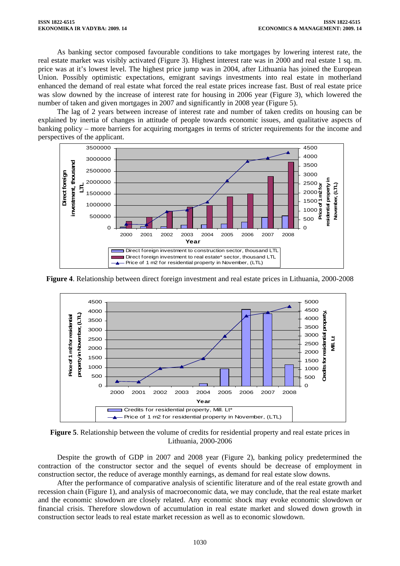As banking sector composed favourable conditions to take mortgages by lowering interest rate, the real estate market was visibly activated (Figure 3). Highest interest rate was in 2000 and real estate 1 sq. m. price was at it's lowest level. The highest price jump was in 2004, after Lithuania has joined the European Union. Possibly optimistic expectations, emigrant savings investments into real estate in motherland enhanced the demand of real estate what forced the real estate prices increase fast. Bust of real estate price was slow downed by the increase of interest rate for housing in 2006 year (Figure 3), which lowered the number of taken and given mortgages in 2007 and significantly in 2008 year (Figure 5).

The lag of 2 years between increase of interest rate and number of taken credits on housing can be explained by inertia of changes in attitude of people towards economic issues, and qualitative aspects of banking policy – more barriers for acquiring mortgages in terms of stricter requirements for the income and perspectives of the applicant.



**Figure 4**. Relationship between direct foreign investment and real estate prices in Lithuania, 2000-2008



**Figure 5**. Relationship between the volume of credits for residential property and real estate prices in Lithuania, 2000-2006

Despite the growth of GDP in 2007 and 2008 year (Figure 2), banking policy predetermined the contraction of the constructor sector and the sequel of events should be decrease of employment in construction sector, the reduce of average monthly earnings, as demand for real estate slow downs.

After the performance of comparative analysis of scientific literature and of the real estate growth and recession chain (Figure 1), and analysis of macroeconomic data, we may conclude, that the real estate market and the economic slowdown are closely related. Any economic shock may evoke economic slowdown or financial crisis. Therefore slowdown of accumulation in real estate market and slowed down growth in construction sector leads to real estate market recession as well as to economic slowdown.